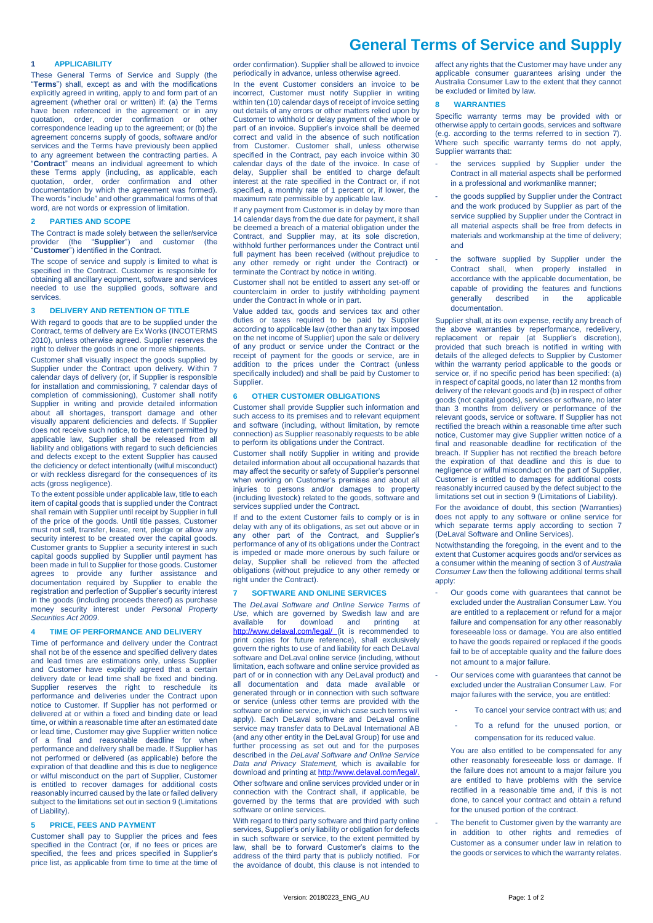# **General Terms of Service and Supply**

### **1 APPLICABILITY**

These General Terms of Service and Supply (the "**Terms**") shall, except as and with the modifications explicitly agreed in writing, apply to and form part of an agreement (whether oral or written) if: (a) the Terms have been referenced in the agreement or in any quotation, order, order confirmation or other correspondence leading up to the agreement; or (b) the agreement concerns supply of goods, software and/or services and the Terms have previously been applied to any agreement between the contracting parties. A "**Contract**" means an individual agreement to which these Terms apply (including, as applicable, each quotation, order, order confirmation and other documentation by which the agreement was formed). The words "include" and other grammatical forms of that word, are not words or expression of limitation.

# **2 PARTIES AND SCOPE**

The Contract is made solely between the seller/service<br>provider (the "Supplier") and customer (the provider (the "**Supplier**") and customer (the "**Customer**") identified in the Contract.

The scope of service and supply is limited to what is specified in the Contract. Customer is responsible for obtaining all ancillary equipment, software and services needed to use the supplied goods, software and services.

# **3 DELIVERY AND RETENTION OF TITLE**

With regard to goods that are to be supplied under the Contract, terms of delivery are Ex Works (INCOTERMS 2010), unless otherwise agreed. Supplier reserves the right to deliver the goods in one or more shipments.

Customer shall visually inspect the goods supplied by Supplier under the Contract upon delivery. Within 7 calendar days of delivery (or, if Supplier is responsible for installation and commissioning, 7 calendar days of completion of commissioning), Customer shall notify Supplier in writing and provide detailed information about all shortages, transport damage and other visually apparent deficiencies and defects. If Supplier does not receive such notice, to the extent permitted by applicable law, Supplier shall be released from all liability and obligations with regard to such deficiencies and defects except to the extent Supplier has caused the deficiency or defect intentionally (wilful misconduct) or with reckless disregard for the consequences of its acts (gross negligence).

To the extent possible under applicable law, title to each item of capital goods that is supplied under the Contract shall remain with Supplier until receipt by Supplier in full of the price of the goods. Until title passes, Customer must not sell, transfer, lease, rent, pledge or allow any security interest to be created over the capital goods. Customer grants to Supplier a security interest in such capital goods supplied by Supplier until payment has been made in full to Supplier for those goods. Customer agrees to provide any further assistance and documentation required by Supplier to enable the registration and perfection of Supplier's security interest in the goods (including proceeds thereof) as purchase money security interest under *Personal Property Securities Act 2009*.

# **4 TIME OF PERFORMANCE AND DELIVERY**

Time of performance and delivery under the Contract shall not be of the essence and specified delivery dates and lead times are estimations only, unless Supplier and Customer have explicitly agreed that a certain delivery date or lead time shall be fixed and binding. Supplier reserves the right to reschedule its performance and deliveries under the Contract upon notice to Customer. If Supplier has not performed or delivered at or within a fixed and binding date or lead time, or within a reasonable time after an estimated date or lead time, Customer may give Supplier written notice of a final and reasonable deadline for when performance and delivery shall be made. If Supplier has not performed or delivered (as applicable) before the expiration of that deadline and this is due to negligence or wilful misconduct on the part of Supplier, Customer is entitled to recover damages for additional costs reasonably incurred caused by the late or failed delivery subject to the limitations set out in sectio[n 9](#page-1-0) (Limitations of Liability).

# <span id="page-0-1"></span>**5 PRICE, FEES AND PAYMENT**

Customer shall pay to Supplier the prices and fees specified in the Contract (or, if no fees or prices are specified, the fees and prices specified in Supplier's price list, as applicable from time to time at the time of order confirmation). Supplier shall be allowed to invoice periodically in advance, unless otherwise agreed.

In the event Customer considers an invoice to be incorrect, Customer must notify Supplier in writing within ten (10) calendar days of receipt of invoice setting out details of any errors or other matters relied upon by Customer to withhold or delay payment of the whole or part of an invoice. Supplier's invoice shall be deemed correct and valid in the absence of such notification from Customer. Customer shall, unless otherwise specified in the Contract, pay each invoice within 30 calendar days of the date of the invoice. In case of delay, Supplier shall be entitled to charge default interest at the rate specified in the Contract or, if not specified, a monthly rate of 1 percent or, if lower, the maximum rate permissible by applicable law.

If any payment from Customer is in delay by more than 14 calendar days from the due date for payment, it shall be deemed a breach of a material obligation under the Contract, and Supplier may, at its sole discretion, withhold further performances under the Contract until full payment has been received (without prejudice to any other remedy or right under the Contract) or terminate the Contract by notice in writing.

Customer shall not be entitled to assert any set-off or counterclaim in order to justify withholding payment under the Contract in whole or in part.

Value added tax, goods and services tax and other duties or taxes required to be paid by Supplier according to applicable law (other than any tax imposed on the net income of Supplier) upon the sale or delivery of any product or service under the Contract or the receipt of payment for the goods or service, are in addition to the prices under the Contract (unless specifically included) and shall be paid by Customer to Supplier.

#### **6 OTHER CUSTOMER OBLIGATIONS**

Customer shall provide Supplier such information and such access to its premises and to relevant equipment and software (including, without limitation, by remote connection) as Supplier reasonably requests to be able to perform its obligations under the Contract.

Customer shall notify Supplier in writing and provide detailed information about all occupational hazards that may affect the security or safety of Supplier's personnel when working on Customer's premises and about all injuries to persons and/or damages to property (including livestock) related to the goods, software and services supplied under the Contract.

If and to the extent Customer fails to comply or is in delay with any of its obligations, as set out above or in any other part of the Contract, and Supplier's performance of any of its obligations under the Contract is impeded or made more onerous by such failure or delay, Supplier shall be relieved from the affected obligations (without prejudice to any other remedy or right under the Contract).

### <span id="page-0-0"></span>**7 SOFTWARE AND ONLINE SERVICES**

The *DeLaval Software and Online Service Terms of Use,* which are governed by Swedish law and are available for download and printing at <http://www.delaval.com/legal/> (it is recommended to print copies for future reference), shall exclusively govern the rights to use of and liability for each DeLaval software and DeLaval online service (including, without limitation, each software and online service provided as part of or in connection with any DeLaval product) and all documentation and data made available or generated through or in connection with such software or service (unless other terms are provided with the software or online service, in which case such terms will apply). Each DeLaval software and DeLaval online service may transfer data to DeLaval International AB (and any other entity in the DeLaval Group) for use and further processing as set out and for the purposes described in the *DeLaval Software and Online Service Data and Privacy Statement,* which is available for download and printing a[t http://www.delaval.com/legal/.](http://www.delaval.com/legal/) Other software and online services provided under or in connection with the Contract shall, if applicable, be governed by the terms that are provided with such software or online services.

With regard to third party software and third party online services, Supplier's only liability or obligation for defects in such software or service, to the extent permitted by law, shall be to forward Customer's claims to the address of the third party that is publicly notified. For the avoidance of doubt, this clause is not intended to

affect any rights that the Customer may have under any applicable consumer guarantees arising under the Australia Consumer Law to the extent that they cannot be excluded or limited by law.

### <span id="page-0-2"></span>**8 WARRANTIES**

Specific warranty terms may be provided with or otherwise apply to certain goods, services and software (e.g. according to the terms referred to in section [7\).](#page-0-0) Where such specific warranty terms do not apply, Supplier warrants that:

- the services supplied by Supplier under the Contract in all material aspects shall be performed in a professional and workmanlike manner;
- the goods supplied by Supplier under the Contract and the work produced by Supplier as part of the service supplied by Supplier under the Contract in all material aspects shall be free from defects in materials and workmanship at the time of delivery; and
- the software supplied by Supplier under the Contract shall, when properly installed in accordance with the applicable documentation, be capable of providing the features and functions generally described in the applicable documentation.

Supplier shall, at its own expense, rectify any breach of the above warranties by reperformance, redelivery, replacement or repair (at Supplier's discretion), provided that such breach is notified in writing with details of the alleged defects to Supplier by Customer within the warranty period applicable to the goods or service or, if no specific period has been specified: (a) in respect of capital goods, no later than 12 months from delivery of the relevant goods and (b) in respect of other goods (not capital goods), services or software, no later than 3 months from delivery or performance of the relevant goods, service or software. If Supplier has not rectified the breach within a reasonable time after such notice, Customer may give Supplier written notice of a final and reasonable deadline for rectification of the breach. If Supplier has not rectified the breach before the expiration of that deadline and this is due to negligence or wilful misconduct on the part of Supplier, Customer is entitled to damages for additional costs reasonably incurred caused by the defect subject to the limitations set out in sectio[n 9](#page-1-0) (Limitations of Liability). For the avoidance of doubt, this section (Warranties) does not apply to any software or online service for

which separate terms apply according to section [7](#page-0-0) (DeLaval Software and Online Services). Notwithstanding the foregoing, in the event and to the extent that Customer acquires goods and/or services as

a consumer within the meaning of section 3 of *Australia Consumer Law* then the following additional terms shall apply:

- Our goods come with guarantees that cannot be excluded under the Australian Consumer Law. You are entitled to a replacement or refund for a major failure and compensation for any other reasonably foreseeable loss or damage. You are also entitled to have the goods repaired or replaced if the goods fail to be of acceptable quality and the failure does not amount to a major failure.
- Our services come with guarantees that cannot be excluded under the Australian Consumer Law. For major failures with the service, you are entitled:
	- To cancel your service contract with us; and
	- To a refund for the unused portion, or compensation for its reduced value.

You are also entitled to be compensated for any other reasonably foreseeable loss or damage. If the failure does not amount to a major failure you are entitled to have problems with the service rectified in a reasonable time and, if this is not done, to cancel your contract and obtain a refund for the unused portion of the contract.

The benefit to Customer given by the warranty are in addition to other rights and remedies of Customer as a consumer under law in relation to the goods or services to which the warranty relates.